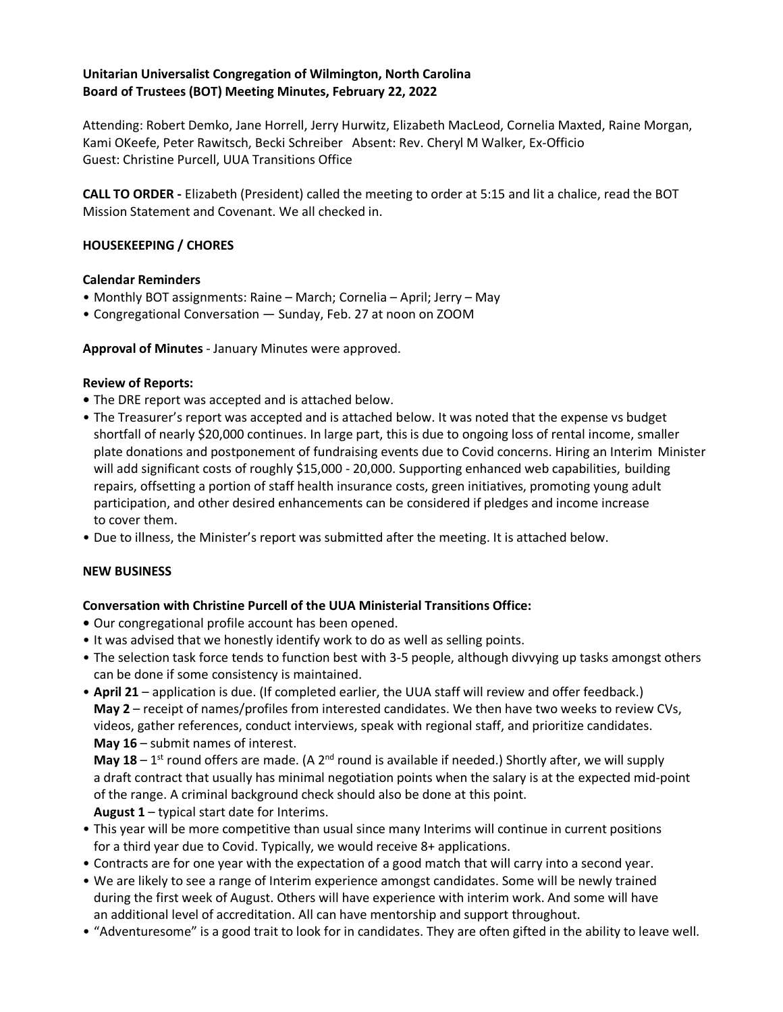## **Unitarian Universalist Congregation of Wilmington, North Carolina Board of Trustees (BOT) Meeting Minutes, February 22, 2022**

Attending: Robert Demko, Jane Horrell, Jerry Hurwitz, Elizabeth MacLeod, Cornelia Maxted, Raine Morgan, Kami OKeefe, Peter Rawitsch, Becki Schreiber Absent: Rev. Cheryl M Walker, Ex-Officio Guest: Christine Purcell, UUA Transitions Office

**CALL TO ORDER -** Elizabeth (President) called the meeting to order at 5:15 and lit a chalice, read the BOT Mission Statement and Covenant. We all checked in.

## **HOUSEKEEPING / CHORES**

#### **Calendar Reminders**

- Monthly BOT assignments: Raine March; Cornelia April; Jerry May
- Congregational Conversation Sunday, Feb. 27 at noon on ZOOM

**Approval of Minutes** - January Minutes were approved.

#### **Review of Reports:**

- **•** The DRE report was accepted and is attached below.
- The Treasurer's report was accepted and is attached below. It was noted that the expense vs budget shortfall of nearly \$20,000 continues. In large part, this is due to ongoing loss of rental income, smaller plate donations and postponement of fundraising events due to Covid concerns. Hiring an Interim Minister will add significant costs of roughly \$15,000 - 20,000. Supporting enhanced web capabilities, building repairs, offsetting a portion of staff health insurance costs, green initiatives, promoting young adult participation, and other desired enhancements can be considered if pledges and income increase to cover them.
- Due to illness, the Minister's report was submitted after the meeting. It is attached below.

#### **NEW BUSINESS**

# **Conversation with Christine Purcell of the UUA Ministerial Transitions Office:**

- **•** Our congregational profile account has been opened.
- It was advised that we honestly identify work to do as well as selling points.
- The selection task force tends to function best with 3-5 people, although divvying up tasks amongst others can be done if some consistency is maintained.
- **April 21** application is due. (If completed earlier, the UUA staff will review and offer feedback.) **May 2** – receipt of names/profiles from interested candidates. We then have two weeks to review CVs, videos, gather references, conduct interviews, speak with regional staff, and prioritize candidates. **May 16** – submit names of interest.

**May 18** – 1<sup>st</sup> round offers are made. (A 2<sup>nd</sup> round is available if needed.) Shortly after, we will supply a draft contract that usually has minimal negotiation points when the salary is at the expected mid-point of the range. A criminal background check should also be done at this point. **August 1** – typical start date for Interims.

- This year will be more competitive than usual since many Interims will continue in current positions for a third year due to Covid. Typically, we would receive 8+ applications.
- Contracts are for one year with the expectation of a good match that will carry into a second year.
- We are likely to see a range of Interim experience amongst candidates. Some will be newly trained during the first week of August. Others will have experience with interim work. And some will have an additional level of accreditation. All can have mentorship and support throughout.
- "Adventuresome" is a good trait to look for in candidates. They are often gifted in the ability to leave well.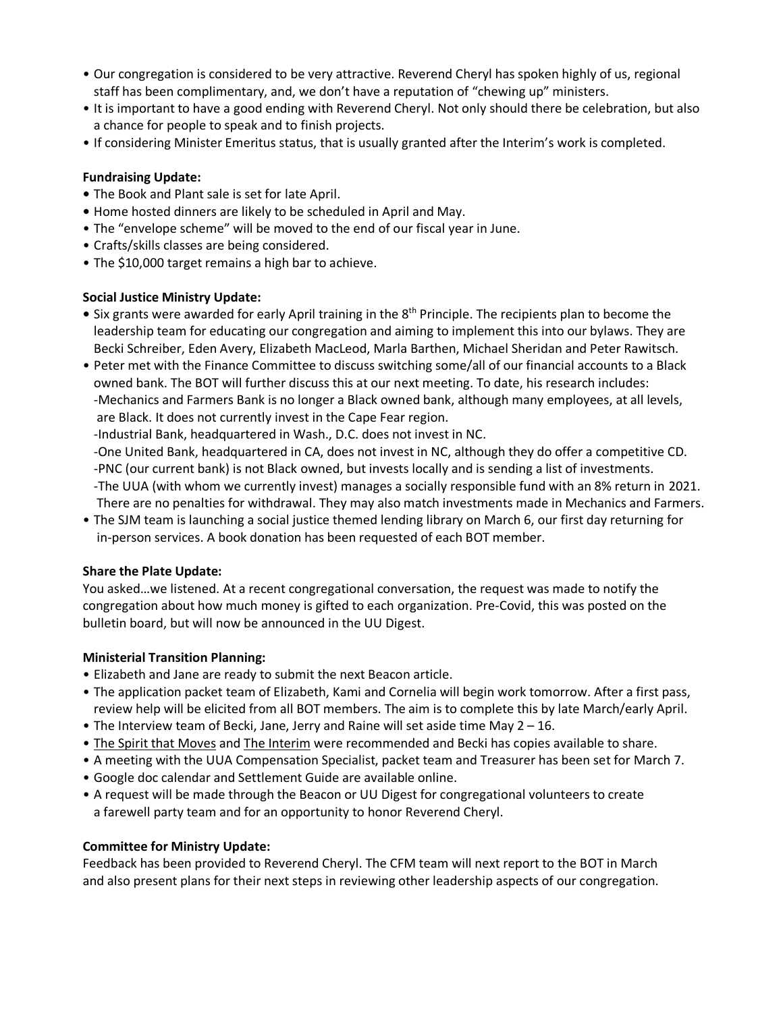- Our congregation is considered to be very attractive. Reverend Cheryl has spoken highly of us, regional staff has been complimentary, and, we don't have a reputation of "chewing up" ministers.
- It is important to have a good ending with Reverend Cheryl. Not only should there be celebration, but also a chance for people to speak and to finish projects.
- If considering Minister Emeritus status, that is usually granted after the Interim's work is completed.

# **Fundraising Update:**

- **•** The Book and Plant sale is set for late April.
- **•** Home hosted dinners are likely to be scheduled in April and May.
- The "envelope scheme" will be moved to the end of our fiscal year in June.
- Crafts/skills classes are being considered.
- The \$10,000 target remains a high bar to achieve.

# **Social Justice Ministry Update:**

- Six grants were awarded for early April training in the 8<sup>th</sup> Principle. The recipients plan to become the leadership team for educating our congregation and aiming to implement this into our bylaws. They are Becki Schreiber, Eden Avery, Elizabeth MacLeod, Marla Barthen, Michael Sheridan and Peter Rawitsch.
- Peter met with the Finance Committee to discuss switching some/all of our financial accounts to a Black owned bank. The BOT will further discuss this at our next meeting. To date, his research includes: -Mechanics and Farmers Bank is no longer a Black owned bank, although many employees, at all levels, are Black. It does not currently invest in the Cape Fear region.

-Industrial Bank, headquartered in Wash., D.C. does not invest in NC.

- -One United Bank, headquartered in CA, does not invest in NC, although they do offer a competitive CD. -PNC (our current bank) is not Black owned, but invests locally and is sending a list of investments. -The UUA (with whom we currently invest) manages a socially responsible fund with an 8% return in 2021. There are no penalties for withdrawal. They may also match investments made in Mechanics and Farmers.
- The SJM team is launching a social justice themed lending library on March 6, our first day returning for in-person services. A book donation has been requested of each BOT member.

# **Share the Plate Update:**

You asked…we listened. At a recent congregational conversation, the request was made to notify the congregation about how much money is gifted to each organization. Pre-Covid, this was posted on the bulletin board, but will now be announced in the UU Digest.

# **Ministerial Transition Planning:**

- Elizabeth and Jane are ready to submit the next Beacon article.
- The application packet team of Elizabeth, Kami and Cornelia will begin work tomorrow. After a first pass, review help will be elicited from all BOT members. The aim is to complete this by late March/early April.
- The Interview team of Becki, Jane, Jerry and Raine will set aside time May 2 16.
- The Spirit that Moves and The Interim were recommended and Becki has copies available to share.
- A meeting with the UUA Compensation Specialist, packet team and Treasurer has been set for March 7.
- Google doc calendar and Settlement Guide are available online.
- A request will be made through the Beacon or UU Digest for congregational volunteers to create a farewell party team and for an opportunity to honor Reverend Cheryl.

# **Committee for Ministry Update:**

Feedback has been provided to Reverend Cheryl. The CFM team will next report to the BOT in March and also present plans for their next steps in reviewing other leadership aspects of our congregation.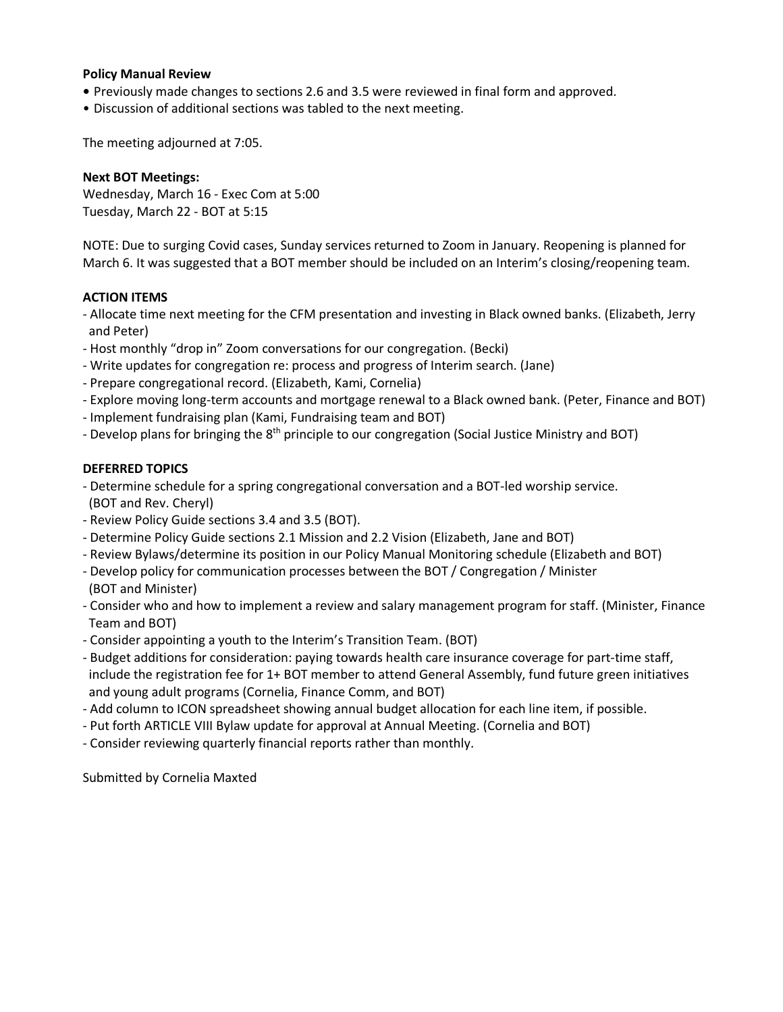#### **Policy Manual Review**

- **•** Previously made changes to sections 2.6 and 3.5 were reviewed in final form and approved.
- Discussion of additional sections was tabled to the next meeting.

The meeting adjourned at 7:05.

#### **Next BOT Meetings:**

Wednesday, March 16 - Exec Com at 5:00 Tuesday, March 22 - BOT at 5:15

NOTE: Due to surging Covid cases, Sunday services returned to Zoom in January. Reopening is planned for March 6. It was suggested that a BOT member should be included on an Interim's closing/reopening team.

#### **ACTION ITEMS**

- Allocate time next meeting for the CFM presentation and investing in Black owned banks. (Elizabeth, Jerry and Peter)
- Host monthly "drop in" Zoom conversations for our congregation. (Becki)
- Write updates for congregation re: process and progress of Interim search. (Jane)
- Prepare congregational record. (Elizabeth, Kami, Cornelia)
- Explore moving long-term accounts and mortgage renewal to a Black owned bank. (Peter, Finance and BOT)
- Implement fundraising plan (Kami, Fundraising team and BOT)
- Develop plans for bringing the 8<sup>th</sup> principle to our congregation (Social Justice Ministry and BOT)

#### **DEFERRED TOPICS**

- Determine schedule for a spring congregational conversation and a BOT-led worship service. (BOT and Rev. Cheryl)
- Review Policy Guide sections 3.4 and 3.5 (BOT).
- Determine Policy Guide sections 2.1 Mission and 2.2 Vision (Elizabeth, Jane and BOT)
- Review Bylaws/determine its position in our Policy Manual Monitoring schedule (Elizabeth and BOT)
- Develop policy for communication processes between the BOT / Congregation / Minister (BOT and Minister)
- Consider who and how to implement a review and salary management program for staff. (Minister, Finance Team and BOT)
- Consider appointing a youth to the Interim's Transition Team. (BOT)
- Budget additions for consideration: paying towards health care insurance coverage for part-time staff, include the registration fee for 1+ BOT member to attend General Assembly, fund future green initiatives and young adult programs (Cornelia, Finance Comm, and BOT)
- Add column to ICON spreadsheet showing annual budget allocation for each line item, if possible.
- Put forth ARTICLE VIII Bylaw update for approval at Annual Meeting. (Cornelia and BOT)
- Consider reviewing quarterly financial reports rather than monthly.

Submitted by Cornelia Maxted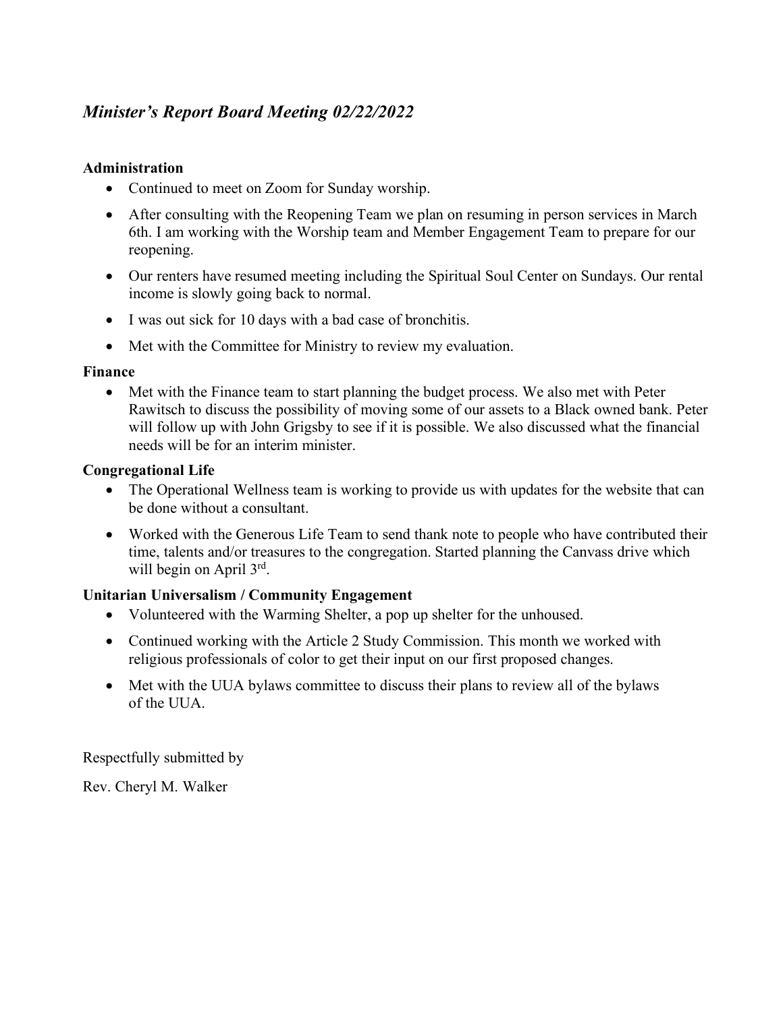# *Minister's Report Board Meeting 02/22/2022*

# **Administration**

- Continued to meet on Zoom for Sunday worship.
- After consulting with the Reopening Team we plan on resuming in person services in March 6th. I am working with the Worship team and Member Engagement Team to prepare for our reopening.
- Our renters have resumed meeting including the Spiritual Soul Center on Sundays. Our rental income is slowly going back to normal.
- I was out sick for 10 days with a bad case of bronchitis.
- Met with the Committee for Ministry to review my evaluation.

# **Finance**

• Met with the Finance team to start planning the budget process. We also met with Peter Rawitsch to discuss the possibility of moving some of our assets to a Black owned bank. Peter will follow up with John Grigsby to see if it is possible. We also discussed what the financial needs will be for an interim minister.

# **Congregational Life**

- The Operational Wellness team is working to provide us with updates for the website that can be done without a consultant.
- Worked with the Generous Life Team to send thank note to people who have contributed their time, talents and/or treasures to the congregation. Started planning the Canvass drive which will begin on April  $3<sup>rd</sup>$ .

# **Unitarian Universalism / Community Engagement**

- Volunteered with the Warming Shelter, a pop up shelter for the unhoused.
- Continued working with the Article 2 Study Commission. This month we worked with religious professionals of color to get their input on our first proposed changes.
- Met with the UUA bylaws committee to discuss their plans to review all of the bylaws of the UUA.

Respectfully submitted by

Rev. Cheryl M. Walker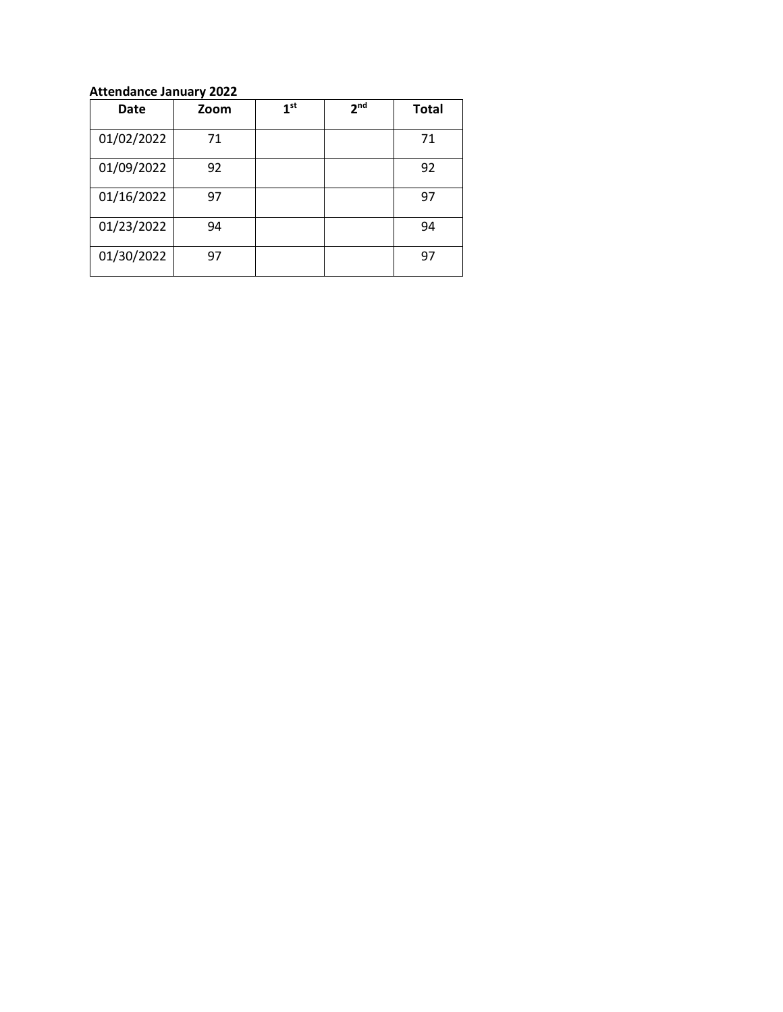#### **Attendance January 2022**

| Date       | Zoom | 1 <sup>st</sup> | 2 <sub>nd</sub> | <b>Total</b> |
|------------|------|-----------------|-----------------|--------------|
| 01/02/2022 | 71   |                 |                 | 71           |
| 01/09/2022 | 92   |                 |                 | 92           |
| 01/16/2022 | 97   |                 |                 | 97           |
| 01/23/2022 | 94   |                 |                 | 94           |
| 01/30/2022 | 97   |                 |                 | 97           |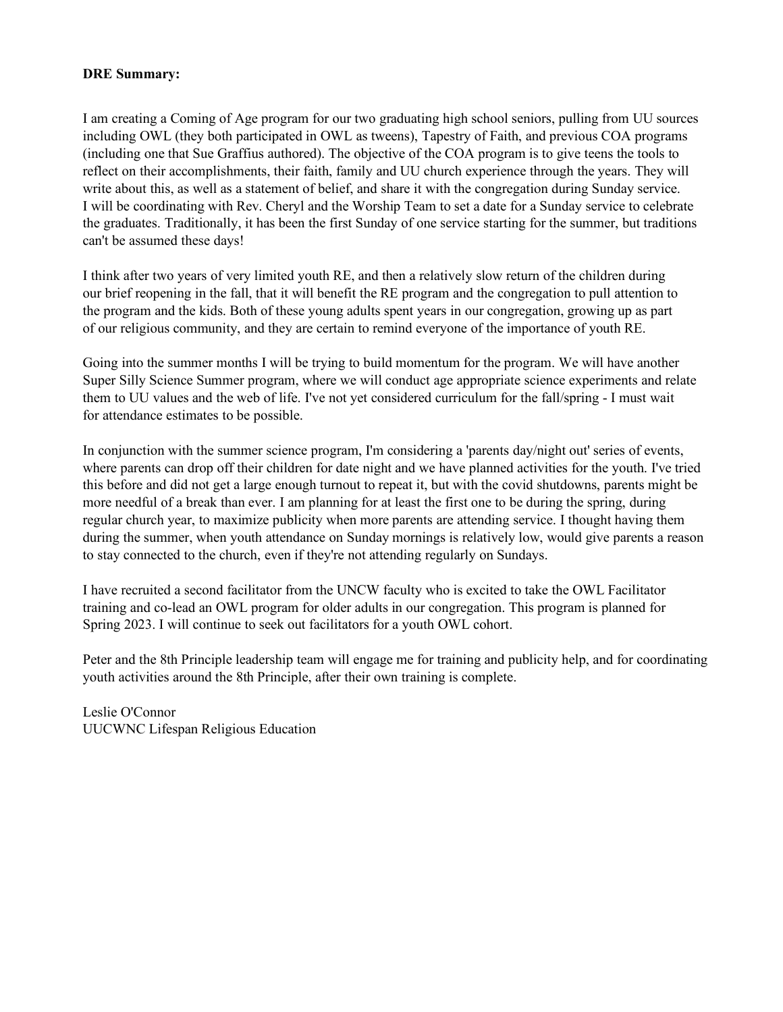#### **DRE Summary:**

I am creating a Coming of Age program for our two graduating high school seniors, pulling from UU sources including OWL (they both participated in OWL as tweens), Tapestry of Faith, and previous COA programs (including one that Sue Graffius authored). The objective of the COA program is to give teens the tools to reflect on their accomplishments, their faith, family and UU church experience through the years. They will write about this, as well as a statement of belief, and share it with the congregation during Sunday service. I will be coordinating with Rev. Cheryl and the Worship Team to set a date for a Sunday service to celebrate the graduates. Traditionally, it has been the first Sunday of one service starting for the summer, but traditions can't be assumed these days!

I think after two years of very limited youth RE, and then a relatively slow return of the children during our brief reopening in the fall, that it will benefit the RE program and the congregation to pull attention to the program and the kids. Both of these young adults spent years in our congregation, growing up as part of our religious community, and they are certain to remind everyone of the importance of youth RE.

Going into the summer months I will be trying to build momentum for the program. We will have another Super Silly Science Summer program, where we will conduct age appropriate science experiments and relate them to UU values and the web of life. I've not yet considered curriculum for the fall/spring - I must wait for attendance estimates to be possible.

In conjunction with the summer science program, I'm considering a 'parents day/night out' series of events, where parents can drop off their children for date night and we have planned activities for the youth. I've tried this before and did not get a large enough turnout to repeat it, but with the covid shutdowns, parents might be more needful of a break than ever. I am planning for at least the first one to be during the spring, during regular church year, to maximize publicity when more parents are attending service. I thought having them during the summer, when youth attendance on Sunday mornings is relatively low, would give parents a reason to stay connected to the church, even if they're not attending regularly on Sundays.

I have recruited a second facilitator from the UNCW faculty who is excited to take the OWL Facilitator training and co-lead an OWL program for older adults in our congregation. This program is planned for Spring 2023. I will continue to seek out facilitators for a youth OWL cohort.

Peter and the 8th Principle leadership team will engage me for training and publicity help, and for coordinating youth activities around the 8th Principle, after their own training is complete.

Leslie O'Connor UUCWNC Lifespan Religious Education